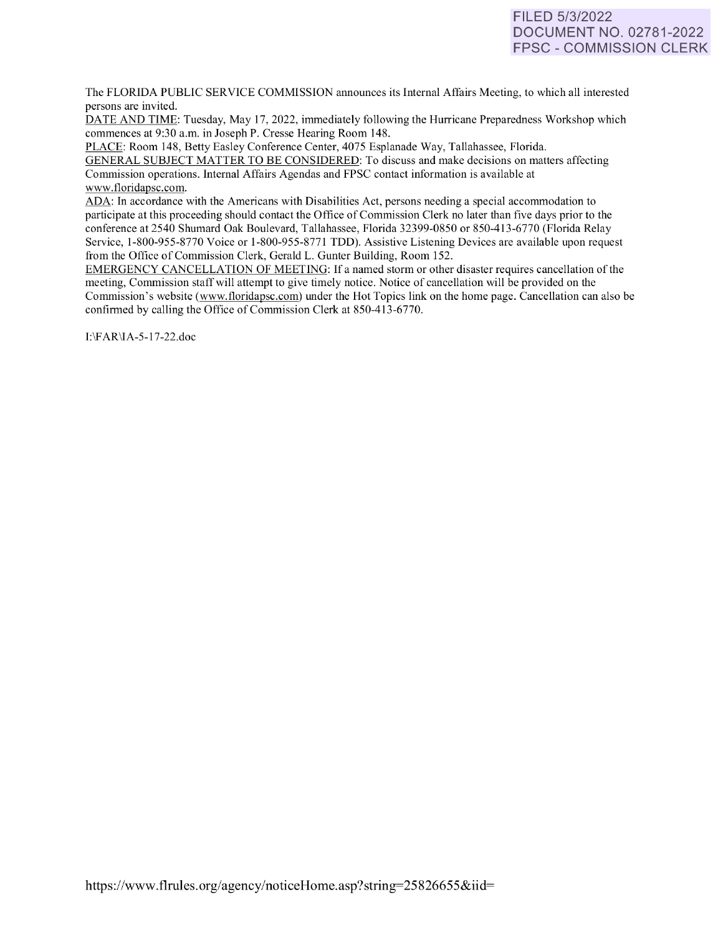# FILED 5/3/2022 DOCUMENT NO. 02781-2022 FPSC - COMMISSION CLERK

The FLORIDA PUBLIC SERVICE COMMISSION announces its Internal Affairs Meeting, to which all interested persons are invited.

DATE AND TIME: Tuesday, May 17, 2022, immediately following the Hurricane Preparedness Workshop which commences at 9:30 a.m. in Joseph P. Cresse Hearing Room 148.

PLACE: Room 148, Betty Easley Conference Center, 4075 Esplanade Way, Tallahassee, Florida. GENERAL SUBJECT MATTER TO BE CONSIDERED: To discuss and make decisions on matters affecting Commission operations. Internal Affairs Agendas and FPSC contact information is available at [www.floridapsc.com.](http://www.floridapsc.com/) 

ADA: In accordance with the Americans with Disabilities Act, persons needing a special accommodation to participate at this proceeding should contact the Office of Commission Clerk no later than five days prior to the conference at 2540 Shumard Oak Boulevard, Tallahassee, Florida 32399-0850 or 850-413-6770 (Florida Relay Service, 1-800-955-8770 Voice or 1-800-955-8771 TDD). Assistive Listening Devices are available upon request from the Office of Commission Clerk, Gerald L. Gunter Building, Room 152.

EMERGENCY CANCELLATION OF MEETING: If a named storm or other disaster requires cancellation of the meeting, Commission staff will attempt to give timely notice. Notice of cancellation will be provided on the Commission's website [\(www.f](http://www/)loridapsc.com) under the Hot Topics link on the home page. Cancellation can also be confirmed by calling the Office of Commission Clerk at 850-413-6770.

1:\F AR\IA-5-17-22.doc